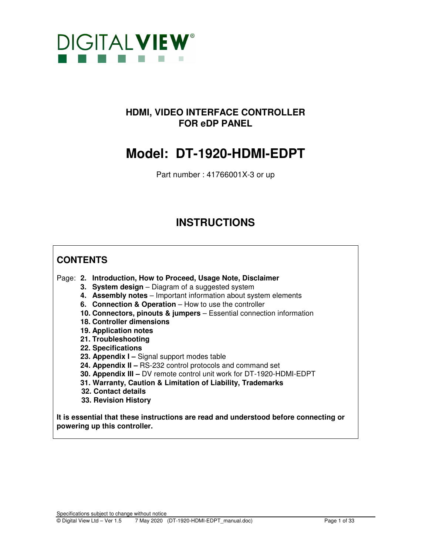

# **HDMI, VIDEO INTERFACE CONTROLLER FOR eDP PANEL**

# **Model: DT-1920-HDMI-EDPT**

Part number : 41766001X-3 or up

# **INSTRUCTIONS**

# **CONTENTS**

Page: **2. Introduction, How to Proceed, Usage Note, Disclaimer** 

- **3. System design** Diagram of a suggested system
- **4. Assembly notes** Important information about system elements
- **6. Connection & Operation** How to use the controller
- **10. Connectors, pinouts & jumpers** Essential connection information
- **18. Controller dimensions**
- **19. Application notes**
- **21. Troubleshooting**
- **22. Specifications**
- **23. Appendix I** Signal support modes table
- **24. Appendix II** RS-232 control protocols and command set
- **30. Appendix III** DV remote control unit work for DT-1920-HDMI-EDPT
- **31. Warranty, Caution & Limitation of Liability, Trademarks**
- **32. Contact details**
- **33. Revision History**

**It is essential that these instructions are read and understood before connecting or powering up this controller.**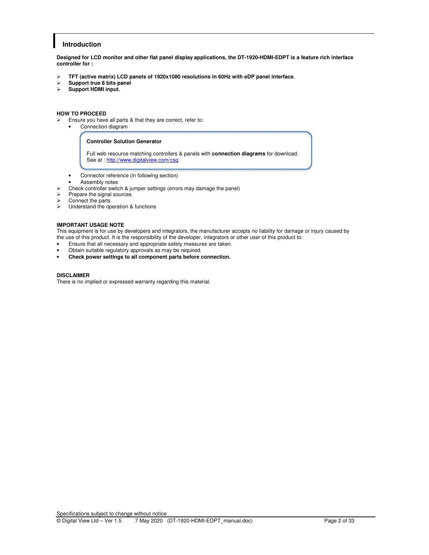### **Introduction**

**Designed for LCD monitor and other flat panel display applications, the DT-1920-HDMI-EDPT is a feature rich interface controller for :** 

- **TFT (active matrix) LCD panels of 1920x1080 resolutions in 60Hz with eDP panel interface.**
- **EXA** Support true 8 bits panel<br> **EXA Support HDMI input.**
- **Support HDMI input.**

#### **HOW TO PROCEED**

- Ensure you have all parts & that they are correct, refer to:
	- Connection diagram

#### **Controller Solution Generator**

Full web resource matching controllers & panels with **connection diagrams** for download. See at : http://www.digitalview.com/csg

- Connector reference (in following section)
- Assembly notes
- $\triangleright$  Check controller switch & jumper settings (errors may damage the panel)<br>  $\triangleright$  Prepare the signal sources
- $\triangleright$  Prepare the signal sources<br>  $\triangleright$  Connect the parts
- $\triangleright$  Connect the parts<br> $\triangleright$  Understand the or
- Understand the operation & functions

#### **IMPORTANT USAGE NOTE**

This equipment is for use by developers and integrators, the manufacturer accepts no liability for damage or injury caused by the use of this product. It is the responsibility of the developer, integrators or other user of this product to:

- Ensure that all necessary and appropriate safety measures are taken.
- Obtain suitable regulatory approvals as may be required.
- **Check power settings to all component parts before connection.**

#### **DISCLAIMER**

There is no implied or expressed warranty regarding this material.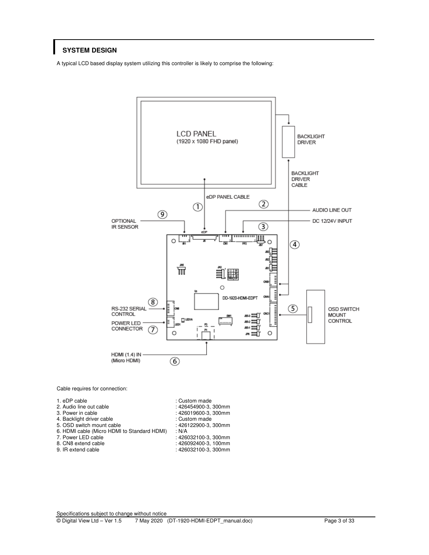### **SYSTEM DESIGN**

A typical LCD based display system utilizing this controller is likely to comprise the following:



Cable requires for connection:

Specifications subject to change without notice<br>
© Digital View Ltd – Ver 1.5 7 May 2020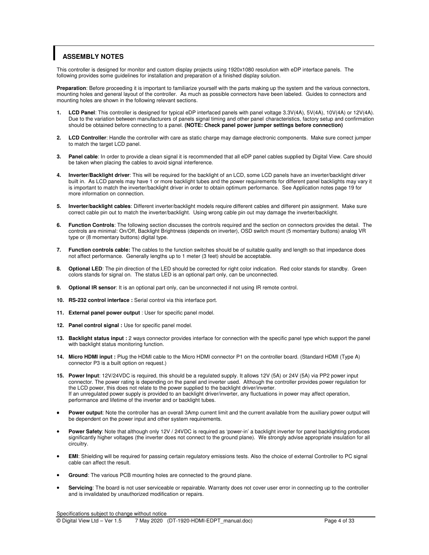### **ASSEMBLY NOTES**

This controller is designed for monitor and custom display projects using 1920x1080 resolution with eDP interface panels. The following provides some guidelines for installation and preparation of a finished display solution.

**Preparation**: Before proceeding it is important to familiarize yourself with the parts making up the system and the various connectors, mounting holes and general layout of the controller. As much as possible connectors have been labeled. Guides to connectors and mounting holes are shown in the following relevant sections.

- **1. LCD Panel**: This controller is designed for typical eDP interfaced panels with panel voltage 3.3V(4A), 5V(4A), 10V(4A) or 12V(4A). Due to the variation between manufacturers of panels signal timing and other panel characteristics, factory setup and confirmation should be obtained before connecting to a panel. **(NOTE: Check panel power jumper settings before connection)**
- **2. LCD Controller**: Handle the controller with care as static charge may damage electronic components. Make sure correct jumper to match the target LCD panel.
- **3. Panel cable**: In order to provide a clean signal it is recommended that all eDP panel cables supplied by Digital View. Care should be taken when placing the cables to avoid signal interference.
- **4. Inverter/Backlight driver**: This will be required for the backlight of an LCD, some LCD panels have an inverter/backlight driver built in. As LCD panels may have 1 or more backlight tubes and the power requirements for different panel backlights may vary it is important to match the inverter/backlight driver in order to obtain optimum performance. See Application notes page 19 for more information on connection.
- **5. Inverter/backlight cables**: Different inverter/backlight models require different cables and different pin assignment. Make sure correct cable pin out to match the inverter/backlight. Using wrong cable pin out may damage the inverter/backlight.
- **6. Function Controls**: The following section discusses the controls required and the section on connectors provides the detail. The controls are minimal: On/Off, Backlight Brightness (depends on inverter), OSD switch mount (5 momentary buttons) analog VR type or (8 momentary buttons) digital type.
- **7. Function controls cable:** The cables to the function switches should be of suitable quality and length so that impedance does not affect performance. Generally lengths up to 1 meter (3 feet) should be acceptable.
- 8. Optional LED: The pin direction of the LED should be corrected for right color indication. Red color stands for standby. Green colors stands for signal on. The status LED is an optional part only, can be unconnected.
- **9. Optional IR sensor**: It is an optional part only, can be unconnected if not using IR remote control.
- **10. RS-232 control interface :** Serial control via this interface port.
- **11. External panel power output** : User for specific panel model.
- **12. Panel control signal :** Use for specific panel model.
- **13. Backlight status input :** 2 ways connector provides interface for connection with the specific panel type which support the panel with backlight status monitoring function.
- **14. Micro HDMI input :** Plug the HDMI cable to the Micro HDMI connector P1 on the controller board. (Standard HDMI (Type A) connector P3 is a built option on request.)
- **15. Power Input**: 12V/24VDC is required, this should be a regulated supply. It allows 12V (5A) or 24V (5A) via PP2 power input connector. The power rating is depending on the panel and inverter used. Although the controller provides power regulation for the LCD power, this does not relate to the power supplied to the backlight driver/inverter. If an unregulated power supply is provided to an backlight driver/inverter, any fluctuations in power may affect operation, performance and lifetime of the inverter and or backlight tubes.
- • **Power output**: Note the controller has an overall 3Amp current limit and the current available from the auxiliary power output will be dependent on the power input and other system requirements.
- • **Power Safety**: Note that although only 12V / 24VDC is required as 'power-in' a backlight inverter for panel backlighting produces significantly higher voltages (the inverter does not connect to the ground plane). We strongly advise appropriate insulation for all circuitry.
- • **EMI**: Shielding will be required for passing certain regulatory emissions tests. Also the choice of external Controller to PC signal cable can affect the result.
- Ground: The various PCB mounting holes are connected to the ground plane.
- • **Servicing**: The board is not user serviceable or repairable. Warranty does not cover user error in connecting up to the controller and is invalidated by unauthorized modification or repairs.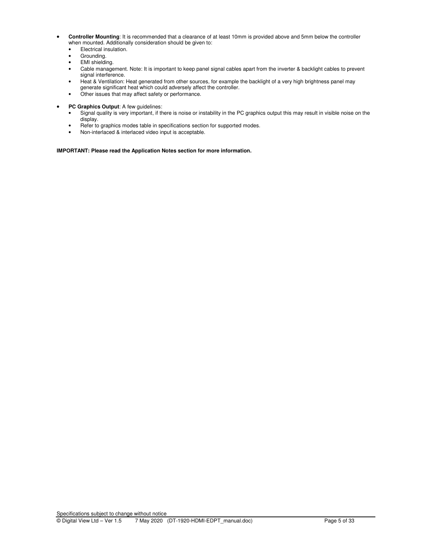- • **Controller Mounting**: It is recommended that a clearance of at least 10mm is provided above and 5mm below the controller when mounted. Additionally consideration should be given to:
	- Electrical insulation.
	- Grounding.
	- EMI shielding.
	- Cable management. Note: It is important to keep panel signal cables apart from the inverter & backlight cables to prevent signal interference.
	- Heat & Ventilation: Heat generated from other sources, for example the backlight of a very high brightness panel may generate significant heat which could adversely affect the controller.
	- Other issues that may affect safety or performance.
- • **PC Graphics Output**: A few guidelines:
	- Signal quality is very important, if there is noise or instability in the PC graphics output this may result in visible noise on the display.
	- Refer to graphics modes table in specifications section for supported modes.
	- Non-interlaced & interlaced video input is acceptable.

**IMPORTANT: Please read the Application Notes section for more information.**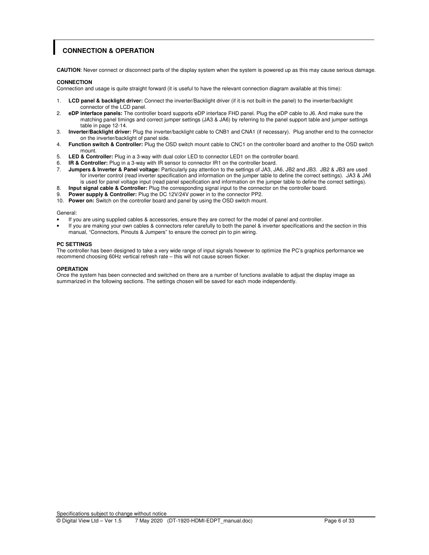# **CONNECTION & OPERATION**

**CAUTION**: Never connect or disconnect parts of the display system when the system is powered up as this may cause serious damage.

#### **CONNECTION**

Connection and usage is quite straight forward (it is useful to have the relevant connection diagram available at this time):

- 1. **LCD panel & backlight driver:** Connect the inverter/Backlight driver (if it is not built-in the panel) to the inverter/backlight connector of the LCD panel.
- 2. **eDP interface panels:** The controller board supports eDP interface FHD panel. Plug the eDP cable to J6. And make sure the matching panel timings and correct jumper settings (JA3 & JA6) by referring to the panel support table and jumper settings table in page 12-14.
- 3. **Inverter/Backlight driver:** Plug the inverter/backlight cable to CNB1 and CNA1 (if necessary). Plug another end to the connector on the inverter/backlight of panel side.
- 4. **Function switch & Controller:** Plug the OSD switch mount cable to CNC1 on the controller board and another to the OSD switch mount.
- 5. **LED & Controller:** Plug in a 3-way with dual color LED to connector LED1 on the controller board.
- 6. **IR & Controller:** Plug in a 3-way with IR sensor to connector IR1 on the controller board.
- 7. **Jumpers & Inverter & Panel voltage:** Particularly pay attention to the settings of JA3, JA6, JB2 and JB3. JB2 & JB3 are used for inverter control (read inverter specification and information on the jumper table to define the correct settings). JA3 & JA6 is used for panel voltage input (read panel specification and information on the jumper table to define the correct settings).
- 8. **Input signal cable & Controller:** Plug the corresponding signal input to the connector on the controller board.
- **Power supply & Controller:** Plug the DC 12V/24V power in to the connector PP2.
- 10. **Power on:** Switch on the controller board and panel by using the OSD switch mount.

#### General:

- If you are using supplied cables & accessories, ensure they are correct for the model of panel and controller.
- If you are making your own cables & connectors refer carefully to both the panel & inverter specifications and the section in this manual, "Connectors, Pinouts & Jumpers" to ensure the correct pin to pin wiring.

#### **PC SETTINGS**

The controller has been designed to take a very wide range of input signals however to optimize the PC's graphics performance we recommend choosing 60Hz vertical refresh rate – this will not cause screen flicker.

#### **OPERATION**

Once the system has been connected and switched on there are a number of functions available to adjust the display image as summarized in the following sections. The settings chosen will be saved for each mode independently.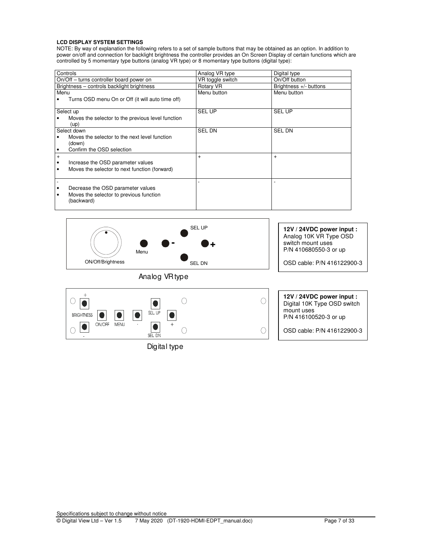#### **LCD DISPLAY SYSTEM SETTINGS**

NOTE: By way of explanation the following refers to a set of sample buttons that may be obtained as an option. In addition to power on/off and connection for backlight brightness the controller provides an On Screen Display of certain functions which are controlled by 5 momentary type buttons (analog VR type) or 8 momentary type buttons (digital type):

| Controls                                                   | Analog VR type   | Digital type             |
|------------------------------------------------------------|------------------|--------------------------|
| On/Off – turns controller board power on                   | VR toggle switch | On/Off button            |
| Brightness - controls backlight brightness                 | Rotary VR        | Brightness $+/-$ buttons |
| Menu                                                       | Menu button      | Menu button              |
| Turns OSD menu On or Off (it will auto time off)<br>٠      |                  |                          |
|                                                            |                  |                          |
| Select up                                                  | <b>SEL UP</b>    | <b>SEL UP</b>            |
| Moves the selector to the previous level function          |                  |                          |
| (up)                                                       |                  |                          |
| Select down                                                | <b>SEL DN</b>    | <b>SEL DN</b>            |
| Moves the selector to the next level function              |                  |                          |
| (down)                                                     |                  |                          |
| Confirm the OSD selection<br>$\bullet$                     |                  |                          |
| $\ddot{}$                                                  | $\ddot{}$        | $\pm$                    |
| Increase the OSD parameter values<br>$\bullet$             |                  |                          |
| Moves the selector to next function (forward)<br>$\bullet$ |                  |                          |
|                                                            |                  |                          |
|                                                            |                  |                          |
| Decrease the OSD parameter values<br>٠                     |                  |                          |
| Moves the selector to previous function<br>٠               |                  |                          |
| (backward)                                                 |                  |                          |
|                                                            |                  |                          |





Digital type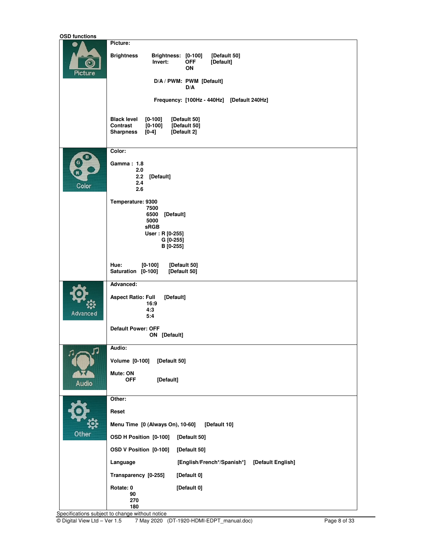| <b>OSD functions</b> |                                                                                                      |
|----------------------|------------------------------------------------------------------------------------------------------|
|                      | Picture:                                                                                             |
|                      | <b>Brightness</b><br>Brightness: [0-100]<br>[Default 50]<br>Invert:<br><b>OFF</b><br>[Default]<br>ON |
| <b>Picture</b>       | D/A / PWM: PWM [Default]<br>D/A                                                                      |
|                      | Frequency: [100Hz - 440Hz] [Default 240Hz]                                                           |
|                      |                                                                                                      |
|                      | <b>Black level</b><br>$[0 - 100]$<br>[Default 50]<br>Contrast<br>[0-100] [Default 50]                |
|                      | <b>Sharpness</b><br>$[0-4]$<br>[Default 2]                                                           |
| Œ,                   | Color:                                                                                               |
| G                    | Gamma: 1.8<br>2.0                                                                                    |
| Color                | 2.2 [Default]<br>2.4                                                                                 |
|                      | 2.6                                                                                                  |
|                      | Temperature: 9300<br>7500                                                                            |
|                      | 6500 [Default]<br>5000                                                                               |
|                      | <b>sRGB</b><br>User: R [0-255]                                                                       |
|                      | G [0-255]<br>B [0-255]                                                                               |
|                      |                                                                                                      |
|                      | Hue:<br>$[0-100]$<br>[Default 50]<br>Saturation [0-100]<br>[Default 50]                              |
|                      | Advanced:                                                                                            |
|                      | <b>Aspect Ratio: Full</b><br>[Default]<br>16:9                                                       |
| Advanced             | 4:3<br>5:4                                                                                           |
|                      | <b>Default Power: OFF</b>                                                                            |
|                      | ON [Default]                                                                                         |
|                      | Audio:                                                                                               |
|                      | Volume [0-100] [Default 50]                                                                          |
| <b>Audio</b>         | Mute: ON<br><b>OFF</b><br>[Default]                                                                  |
|                      | Other:                                                                                               |
|                      | Reset                                                                                                |
|                      | Menu Time [0 (Always On), 10-60]<br>[Default 10]                                                     |
| Other                | OSD H Position [0-100]<br>[Default 50]                                                               |
|                      | OSD V Position [0-100]<br>[Default 50]                                                               |
|                      | [English/French*/Spanish*]<br>Language<br>[Default English]                                          |
|                      | Transparency [0-255]<br>[Default 0]                                                                  |
|                      | [Default 0]<br>Rotate: 0<br>90                                                                       |
|                      | 270<br>180                                                                                           |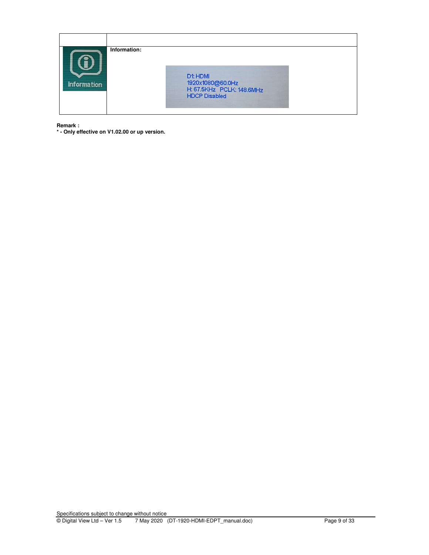

**Remark :** 

**\* - Only effective on V1.02.00 or up version.**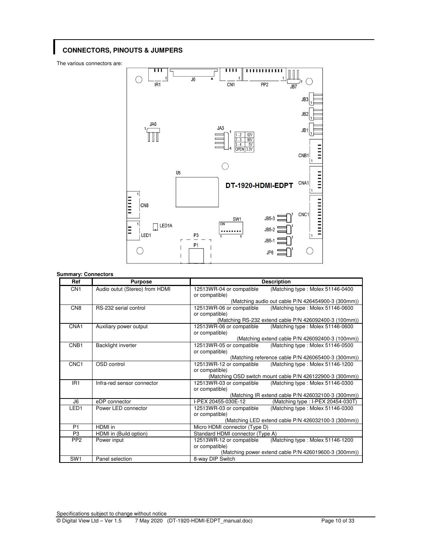## **CONNECTORS, PINOUTS & JUMPERS**

The various connectors are:



### **Summary: Connectors**

| Ref              | <b>Purpose</b>                 | <b>Description</b>                                                              |
|------------------|--------------------------------|---------------------------------------------------------------------------------|
| CN <sub>1</sub>  | Audio outut (Stereo) from HDMI | 12513WR-04 or compatible<br>(Matching type: Molex 51146-0400)                   |
|                  |                                | or compatible)                                                                  |
|                  |                                | (Matching audio out cable P/N 426454900-3 (300mm))                              |
| CN <sub>8</sub>  | RS-232 serial control          | 12513WR-06 or compatible<br>(Matching type: Molex 51146-0600)                   |
|                  |                                | or compatible)                                                                  |
|                  |                                | (Matching RS-232 extend cable P/N 426092400-3 (100mm))                          |
| CNA1             | Auxiliary power output         | 12513WR-06 or compatible<br>(Matching type: Molex 51146-0600)                   |
|                  |                                | or compatible)                                                                  |
|                  |                                | (Matching extend cable P/N 426092400-3 (100mm))                                 |
| CNB <sub>1</sub> | Backlight inverter             | (Matching type: Molex 51146-0500)<br>12513WR-05 or compatible                   |
|                  |                                | or compatible)                                                                  |
|                  |                                | (Matching reference cable P/N 426065400-3 (300mm))                              |
| CNC <sub>1</sub> | OSD control                    | 12513WR-12 or compatible<br>(Matching type: Molex 51146-1200)                   |
|                  |                                | or compatible)                                                                  |
| IR <sub>1</sub>  |                                | (Matching OSD switch mount cable P/N 426122900-3 (300mm))                       |
|                  | Infra-red sensor connector     | 12513WR-03 or compatible<br>(Matching type: Molex 51146-0300)<br>or compatible) |
|                  |                                | (Matching IR extend cable P/N 426032100-3 (300mm))                              |
| J6               | eDP connector                  | I-PEX 20455-030E-12<br>(Matching type: I-PEX 20454-030T)                        |
| LED <sub>1</sub> | Power LED connector            | (Matching type: Molex 51146-0300<br>12513WR-03 or compatible                    |
|                  |                                | or compatible)                                                                  |
|                  |                                | (Matching LED extend cable P/N 426032100-3 (300mm))                             |
| P <sub>1</sub>   | HDMI in                        | Micro HDMI connector (Type D)                                                   |
| P <sub>3</sub>   | HDMI in (Build option)         | Standard HDMI connector (Type A)                                                |
| PP <sub>2</sub>  | Power input                    | (Matching type: Molex 51146-1200)<br>12513WR-12 or compatible                   |
|                  |                                | or compatible)                                                                  |
|                  |                                | (Matching power extend cable P/N 426019600-3 (300mm))                           |
| SW <sub>1</sub>  | Panel selection                | 8-way DIP Switch                                                                |

Specifications subject to change without notice<br>  $\circledcirc$  Digital View Ltd – Ver 1.5 7 May 2020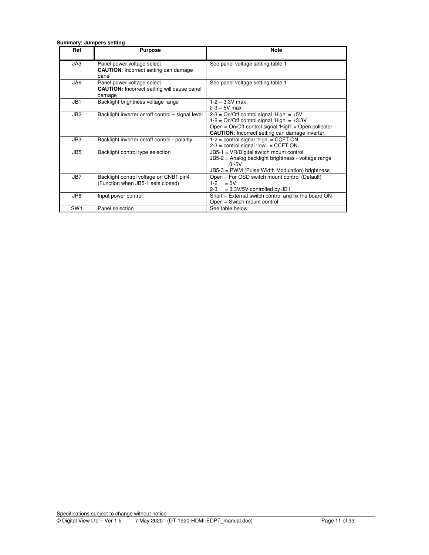|                 | Summary: Jumpers setting                                                                   |                                                                                                                                                                                                                |  |  |  |  |
|-----------------|--------------------------------------------------------------------------------------------|----------------------------------------------------------------------------------------------------------------------------------------------------------------------------------------------------------------|--|--|--|--|
| <b>Ref</b>      | <b>Purpose</b>                                                                             | <b>Note</b>                                                                                                                                                                                                    |  |  |  |  |
| JA3             | Panel power voltage select<br><b>CAUTION:</b> Incorrect setting can damage<br>panel        | See panel voltage setting table 1                                                                                                                                                                              |  |  |  |  |
| AAL.            | Panel power voltage select<br><b>CAUTION:</b> Incorrect setting will cause panel<br>damage | See panel voltage setting table 1                                                                                                                                                                              |  |  |  |  |
| JB1             | Backlight brightness voltage range                                                         | $1 - 2 = 3.3V$ max<br>$2 - 3 = 5V$ max                                                                                                                                                                         |  |  |  |  |
| JB <sub>2</sub> | Backlight inverter on/off control - signal level                                           | $2-3 = On/Off control signal 'High' = +5V$<br>$1-2$ = On/Off control signal 'High' = $+3.3V$<br>Open = On/Off control signal 'High' = Open collector<br><b>CAUTION:</b> Incorrect setting can damage inverter. |  |  |  |  |
| JB3             | Backlight inverter on/off control - polarity                                               | $1-2$ = control signal 'high' = CCFT ON<br>$2-3$ = control signal 'low' = CCFT ON                                                                                                                              |  |  |  |  |
| JB <sub>5</sub> | Backlight control type selection                                                           | JB5-1 = VR/Digital switch mount control<br>JB5-2 = Analog backlight brightness - voltage range<br>$0 - 5V$<br>JB5-3 = PWM (Pulse Width Modulation) brightness                                                  |  |  |  |  |
| JB7             | Backlight control voltage on CNB1 pin4<br>(Function when JB5-1 sets closed)                | Open = For OSD switch mount control (Default)<br>$= 0V$<br>$1-2$<br>$2 - 3$<br>$= 3.3V/5V$ controlled by JB1                                                                                                   |  |  |  |  |
| JP <sub>6</sub> | Input power control                                                                        | Short $=$ External switch control and fix the board ON<br>Open = Switch mount control                                                                                                                          |  |  |  |  |
| SW <sub>1</sub> | Panel selection                                                                            | See table below                                                                                                                                                                                                |  |  |  |  |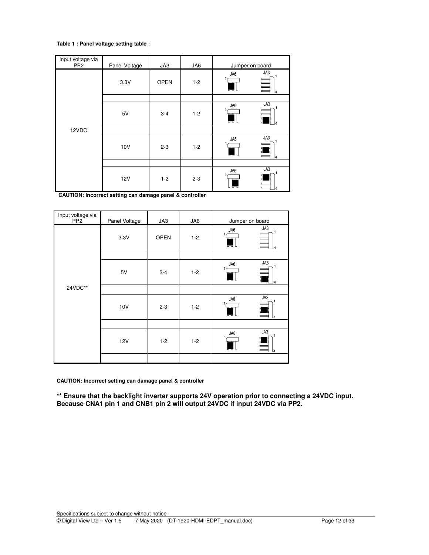#### **Table 1 : Panel voltage setting table :**

| Input voltage via<br>PP <sub>2</sub> | Panel Voltage | JA3         | JA6     | Jumper on board              |  |
|--------------------------------------|---------------|-------------|---------|------------------------------|--|
|                                      | 3.3V          | <b>OPEN</b> | $1 - 2$ | JA3<br>JA6<br>$\overline{4}$ |  |
|                                      |               |             |         |                              |  |
| 12VDC                                | 5V            | $3 - 4$     | $1 - 2$ | JA3<br>JA6<br>$\overline{4}$ |  |
|                                      |               |             |         |                              |  |
|                                      | 10V           | $2 - 3$     | $1 - 2$ | JA3<br>JA6<br>14             |  |
|                                      |               |             |         |                              |  |
|                                      | <b>12V</b>    | $1-2$       | $2 - 3$ | JA3<br>JA6<br>14             |  |

**CAUTION: Incorrect setting can damage panel & controller** 

| Input voltage via<br>PP <sub>2</sub> | Panel Voltage | JA3         | JA6     | Jumper on board            |
|--------------------------------------|---------------|-------------|---------|----------------------------|
|                                      | 3.3V          | <b>OPEN</b> | $1 - 2$ | JA3<br>JA6<br>14           |
|                                      |               |             |         |                            |
|                                      | 5V            | $3 - 4$     | $1 - 2$ | JA3<br>JA6<br>ا<br>ا<br>14 |
| 24VDC**                              |               |             |         |                            |
|                                      | 10V           | $2 - 3$     | $1 - 2$ | JA3<br>JA6<br>14           |
|                                      |               |             |         |                            |
|                                      | <b>12V</b>    | $1-2$       | $1 - 2$ | JA3<br>JA6<br>1<br>J4      |
|                                      |               |             |         |                            |

**CAUTION: Incorrect setting can damage panel & controller** 

**\*\* Ensure that the backlight inverter supports 24V operation prior to connecting a 24VDC input. Because CNA1 pin 1 and CNB1 pin 2 will output 24VDC if input 24VDC via PP2.**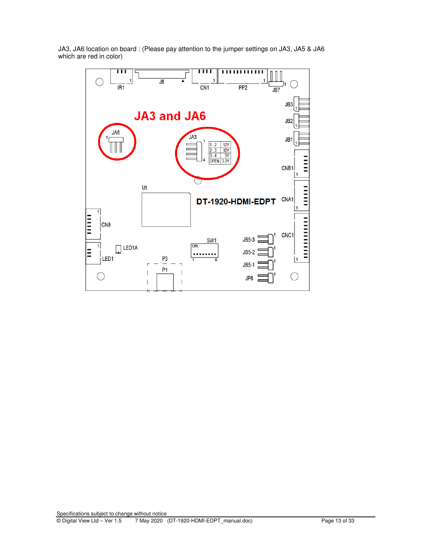

JA3, JA6 location on board : (Please pay attention to the jumper settings on JA3, JA5 & JA6 which are red in color)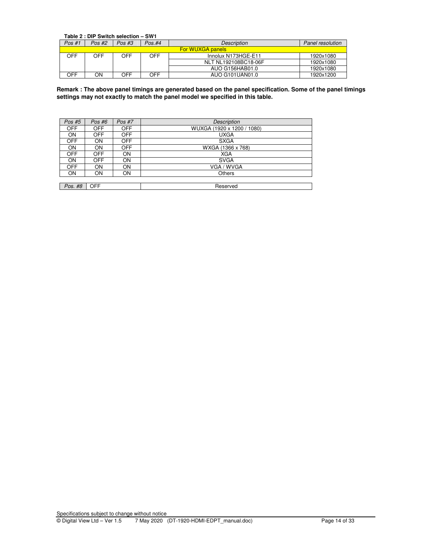**Table 2 : DIP Switch selection – SW1**<br>Pos #1 | Pos #2 | Pos #3 | Pos.#4 *Pos #1 Pos #2 Pos #3 Pos.#4 Description Panel resolution*  For WUXGA panels OFF OFF OFF OFF Innolux N173HGE-E11 1920x1080<br>NLT NL192108BC18-06F 1920x1080 NLT NL192108BC18-06F 1920x1080<br>AUO G156HAB01.0 1920x1080 AUO G156HAB01.0 1920x1080<br>OFF ON OFF OFF AUO G101UAN01.0 1920x1200 AUO G101UAN01.0

**Remark : The above panel timings are generated based on the panel specification. Some of the panel timings settings may not exactly to match the panel model we specified in this table.** 

| Pos #5     | Pos #6     | Pos #7     | <b>Description</b>         |
|------------|------------|------------|----------------------------|
| <b>OFF</b> | OFF        | OFF        | WUXGA (1920 x 1200 / 1080) |
| ON         | <b>OFF</b> | OFF        | <b>UXGA</b>                |
| <b>OFF</b> | ON         | <b>OFF</b> | <b>SXGA</b>                |
| ON         | ON         | <b>OFF</b> | WXGA (1366 x 768)          |
| <b>OFF</b> | <b>OFF</b> | ON         | XGA                        |
| ON         | <b>OFF</b> | ON         | <b>SVGA</b>                |
| <b>OFF</b> | ON         | ON         | VGA / WVGA                 |
| <b>ON</b>  | ON         | ON         | <b>Others</b>              |
|            |            |            |                            |
| Pos. #8    | <b>OFF</b> |            | Reserved                   |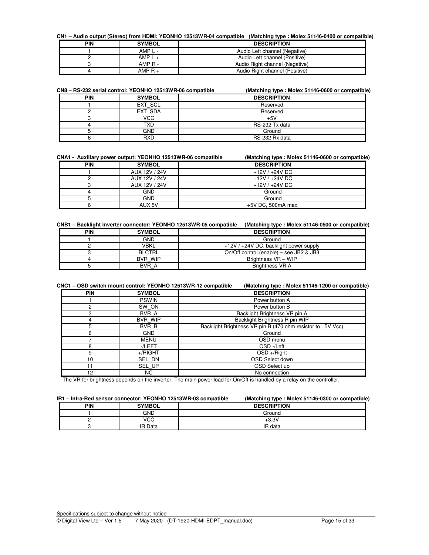#### **CN1 – Audio output (Stereo) from HDMI: YEONHO 12513WR-04 compatible (Matching type : Molex 51146-0400 or compatible)**

| PIN | <b>SYMBOL</b> | <b>DESCRIPTION</b>             |
|-----|---------------|--------------------------------|
|     | AMP L -       | Audio Left channel (Negative)  |
|     | AMP L $+$     | Audio Left channel (Positive)  |
|     | AMP R-        | Audio Right channel (Negative) |
|     | AMP $R_+$     | Audio Right channel (Positive) |

|  |  |  | CN8 - RS-232 serial control: YEONHO 12513WR-06 compatible |
|--|--|--|-----------------------------------------------------------|
|  |  |  |                                                           |

| N8 - RS-232 serial control: YEONHO 12513WR-06 compatible |               | (Matching type: Molex 51146-0600 or compatible) |
|----------------------------------------------------------|---------------|-------------------------------------------------|
| PIN                                                      | <b>SYMBOL</b> | <b>DESCRIPTION</b>                              |
|                                                          | EXT SCL       | Reserved                                        |
|                                                          | EXT SDA       | Reserved                                        |
|                                                          | <b>VCC</b>    | $+5V$                                           |
|                                                          | TXD           | RS-232 Tx data                                  |
|                                                          | GND           | Ground                                          |
|                                                          | <b>RXD</b>    | RS-232 Rx data                                  |

|  | CNA1 - Auxiliary power output: YEONHO 12513WR-06 compatible |  |
|--|-------------------------------------------------------------|--|

(Matching type: Molex 51146-0600 or compatible)

| PIN | <b>SYMBOL</b> | <b>DESCRIPTION</b>   |
|-----|---------------|----------------------|
|     | AUX 12V / 24V | $+12V/+24V$ DC       |
|     | AUX 12V / 24V | +12V / +24V DC       |
|     | AUX 12V / 24V | $+12V/+24V$ DC       |
|     | GND           | Ground               |
|     | GND           | Ground               |
|     | AUX 5V        | $+5V$ DC, 500mA max. |

**CNB1 – Backlight inverter connector: YEONHO 12513WR-05 compatible (Matching type : Molex 51146-0500 or compatible)**

| PIN | <b>SYMBOL</b> | <b>DESCRIPTION</b>                      |
|-----|---------------|-----------------------------------------|
|     | GND           | Ground                                  |
|     | VBKL          | +12V / +24V DC, backlight power supply  |
|     | <b>BLCTRL</b> | On/Off control (enable) – see JB2 & JB3 |
|     | BVR WIP       | Brightness VR - WIP                     |
|     | BVR A         | Brightness VR A                         |

| <b>PIN</b> | <b>SYMBOL</b>  | <b>DESCRIPTION</b>                                          |
|------------|----------------|-------------------------------------------------------------|
|            | <b>PSWIN</b>   | Power button A                                              |
| ິ          | SW ON          | Power button B                                              |
| З          | BVR A          | Backlight Brightness VR pin A                               |
| 4          | <b>BVR WIP</b> | Backlight Brightness R pin WIP                              |
| 5          | BVR B          | Backlight Brightness VR pin B (470 ohm resistor to +5V Vcc) |
| 6          | <b>GND</b>     | Ground                                                      |
|            | <b>MENU</b>    | OSD menu                                                    |
| R          | -/LEFT         | OSD-/Left                                                   |
|            | $+$ /RIGHT     | $OSD + /$ Right                                             |
| 10         | SEL DN         | OSD Select down                                             |
| 11         | SEL UP         | OSD Select up                                               |
| 12         | NC.            | No connection                                               |

The VR for brightness depends on the inverter. The main power load for On/Off is handled by a relay on the controller.

| PIN | <b>SYMBOL</b> | <b>DESCRIPTION</b> |
|-----|---------------|--------------------|
|     | GND           | Ground             |
|     | VCC           | $+3.3V$            |
|     | IR Data       | IR data            |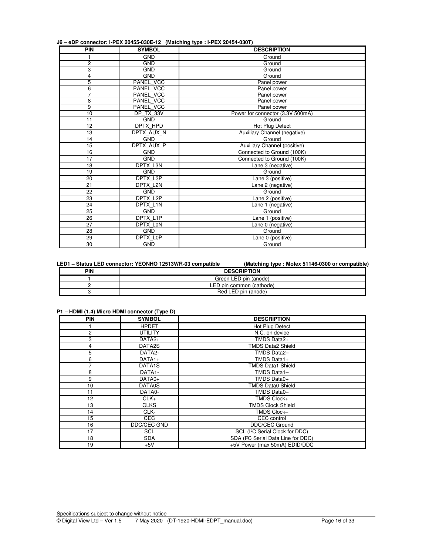**J6 – eDP connector: I-PEX 20455-030E-12 (Matching type : I-PEX 20454-030T)** 

| <b>PIN</b>     | <b>SYMBOL</b>   | $\frac{1}{2}$ connector. Then, every vouch in (matering type . If an every voor)<br><b>DESCRIPTION</b> |
|----------------|-----------------|--------------------------------------------------------------------------------------------------------|
| 1              | <b>GND</b>      | Ground                                                                                                 |
| 2              | <b>GND</b>      | Ground                                                                                                 |
| 3              | <b>GND</b>      | Ground                                                                                                 |
| 4              | <b>GND</b>      | Ground                                                                                                 |
| 5              | PANEL VCC       | Panel power                                                                                            |
| 6              | PANEL VCC       | Panel power                                                                                            |
| $\overline{7}$ | PANEL VCC       | Panel power                                                                                            |
| 8              | PANEL VCC       | Panel power                                                                                            |
| 9              | PANEL VCC       | Panel power                                                                                            |
| 10             | DP TX 33V       | Power for connector (3.3V 500mA)                                                                       |
| 11             | <b>GND</b>      | Ground                                                                                                 |
| 12             | DPTX HPD        | Hot Plug Detect                                                                                        |
| 13             | DPTX AUX N      | Auxiliary Channel (negative)                                                                           |
| 14             | <b>GND</b>      | Ground                                                                                                 |
| 15             | DPTX AUX P      | Auxiliary Channel (positive)                                                                           |
| 16             | <b>GND</b>      | Connected to Ground (100K)                                                                             |
| 17             | <b>GND</b>      | Connected to Ground (100K)                                                                             |
| 18             | DPTX L3N        | Lane 3 (negative)                                                                                      |
| 19             | <b>GND</b>      | Ground                                                                                                 |
| 20             | DPTX L3P        | Lane 3 (positive)                                                                                      |
| 21             | DPTX L2N        | Lane 2 (negative)                                                                                      |
| 22             | <b>GND</b>      | Ground                                                                                                 |
| 23             | DPTX L2P        | Lane 2 (positive)                                                                                      |
| 24             | <b>DPTX L1N</b> | Lane 1 (negative)                                                                                      |
| 25             | <b>GND</b>      | Ground                                                                                                 |
| 26             | DPTX L1P        | Lane 1 (positive)                                                                                      |
| 27             | <b>DPTX LON</b> | Lane 0 (negative)                                                                                      |
| 28             | <b>GND</b>      | Ground                                                                                                 |
| 29             | DPTX L0P        | Lane 0 (positive)                                                                                      |
| 30             | <b>GND</b>      | Ground                                                                                                 |

**LED1 – Status LED connector: YEONHO 12513WR-03 compatible (Matching type : Molex 51146-0300 or compatible)** 

| PIN | <b>DESCRIPTION</b>       |
|-----|--------------------------|
|     | Green LED pin (anode)    |
|     | LED pin common (cathode) |
|     | Red LED pin (anode)      |

**P1 – HDMI (1.4) Micro HDMI connector (Type D)** 

| <b>PIN</b> | $\cdots$ $\cdots$<br><b>SYMBOL</b> | <b>DESCRIPTION</b>                              |
|------------|------------------------------------|-------------------------------------------------|
|            | <b>HPDET</b>                       | Hot Plug Detect                                 |
| 2          | <b>UTILITY</b>                     | N.C. on device                                  |
| 3          | $DATA2+$                           | TMDS Data2+                                     |
| 4          | DATA2S                             | <b>TMDS Data2 Shield</b>                        |
| 5          | DATA2-                             | TMDS Data2-                                     |
| 6          | $DATA1+$                           | TMDS Data1+                                     |
|            | DATA <sub>1</sub> S                | <b>TMDS Data1 Shield</b>                        |
| 8          | DATA1-                             | TMDS Data1-                                     |
| 9          | DATA0+                             | TMDS Data0+                                     |
| 10         | DATA0S                             | <b>TMDS Data0 Shield</b>                        |
| 11         | DATA0-                             | TMDS Data0-                                     |
| 12         | $CLK+$                             | TMDS Clock+                                     |
| 13         | <b>CLKS</b>                        | <b>TMDS Clock Shield</b>                        |
| 14         | CLK-                               | TMDS Clock-                                     |
| 15         | <b>CEC</b>                         | CEC control                                     |
| 16         | DDC/CEC GND                        | <b>DDC/CEC Ground</b>                           |
| 17         | <b>SCL</b>                         | SCL (I <sup>2</sup> C Serial Clock for DDC)     |
| 18         | SDA                                | SDA (I <sup>2</sup> C Serial Data Line for DDC) |
| 19         | $+5V$                              | +5V Power (max 50mA) EDID/DDC                   |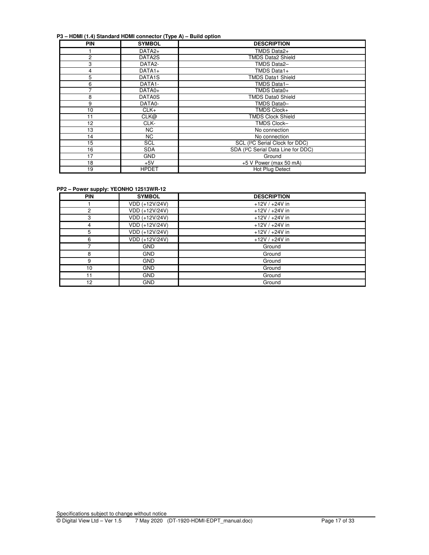### **P3 – HDMI (1.4) Standard HDMI connector (Type A) – Build option**

| <b>PIN</b>     | <b>SYMBOL</b>       | <b>DESCRIPTION</b>                              |
|----------------|---------------------|-------------------------------------------------|
|                | DATA2+              | TMDS Data2+                                     |
| $\overline{c}$ | DATA2S              | <b>TMDS Data2 Shield</b>                        |
| 3              | DATA2-              | TMDS Data2-                                     |
| 4              | $DATA1+$            | TMDS Data1+                                     |
| 5              | DATA <sub>1</sub> S | <b>TMDS Data1 Shield</b>                        |
| 6              | DATA1-              | TMDS Data1-                                     |
| 7              | DATA0+              | TMDS Data0+                                     |
| 8              | DATA0S              | TMDS Data0 Shield                               |
| 9              | DATA0-              | TMDS Data0-                                     |
| 10             | $CLK+$              | TMDS Clock+                                     |
| 11             | CLK@                | <b>TMDS Clock Shield</b>                        |
| 12             | CLK-                | TMDS Clock-                                     |
| 13             | NC.                 | No connection                                   |
| 14             | NC.                 | No connection                                   |
| 15             | SCL                 | SCL (I <sup>2</sup> C Serial Clock for DDC)     |
| 16             | <b>SDA</b>          | SDA (I <sup>2</sup> C Serial Data Line for DDC) |
| 17             | <b>GND</b>          | Ground                                          |
| 18             | $+5V$               | +5 V Power (max 50 mA)                          |
| 19             | <b>HPDET</b>        | Hot Plug Detect                                 |

### **PP2 – Power supply: YEONHO 12513WR-12**

| <b>PIN</b> | <b>SYMBOL</b>  | <b>DESCRIPTION</b> |
|------------|----------------|--------------------|
|            | VDD (+12V/24V) | $+12V/+24V$ in     |
| 2          | VDD (+12V/24V) | $+12V / +24V$ in   |
| 3          | VDD (+12V/24V) | $+12V/+24V$ in     |
| 4          | VDD (+12V/24V) | $+12V / +24V$ in   |
| 5          | VDD (+12V/24V) | $+12V / +24V$ in   |
| 6          | VDD (+12V/24V) | $+12V / +24V$ in   |
|            | <b>GND</b>     | Ground             |
| 8          | <b>GND</b>     | Ground             |
| 9          | <b>GND</b>     | Ground             |
| 10         | <b>GND</b>     | Ground             |
| 11         | <b>GND</b>     | Ground             |
| 12         | <b>GND</b>     | Ground             |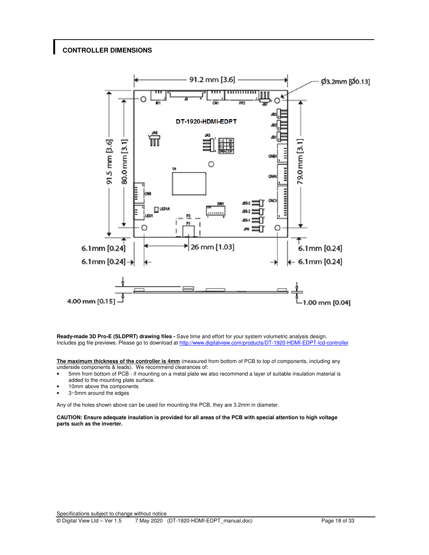### **CONTROLLER DIMENSIONS**



**Ready-made 3D Pro-E (SLDPRT) drawing files -** Save time and effort for your system volumetric analysis design. Includes jpg file previews. Please go to download at http://www.digitalview.com/products/DT-1920-HDMI-EDPT-lcd-controller

**The maximum thickness of the controller is 4mm** (measured from bottom of PCB to top of components, including any underside components & leads). We recommend clearances of:

- 5mm from bottom of PCB if mounting on a metal plate we also recommend a layer of suitable insulation material is added to the mounting plate surface.
- 10mm above the components
- 3~5mm around the edges

Any of the holes shown above can be used for mounting the PCB, they are 3.2mm in diameter.

**CAUTION: Ensure adequate insulation is provided for all areas of the PCB with special attention to high voltage parts such as the inverter.**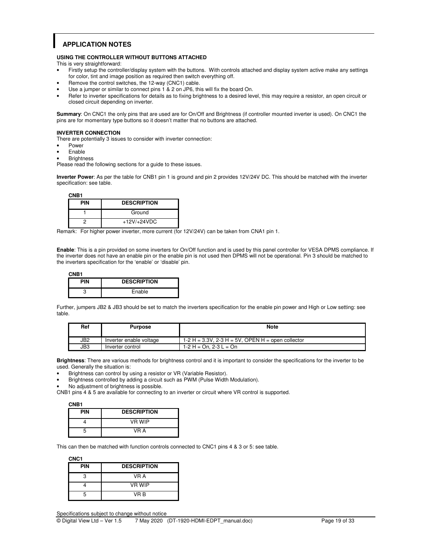## **APPLICATION NOTES**

#### **USING THE CONTROLLER WITHOUT BUTTONS ATTACHED**

This is very straightforward:

- Firstly setup the controller/display system with the buttons. With controls attached and display system active make any settings for color, tint and image position as required then switch everything off.
- Remove the control switches, the 12-way (CNC1) cable.
- Use a jumper or similar to connect pins 1 & 2 on JP6, this will fix the board On.
- Refer to inverter specifications for details as to fixing brightness to a desired level, this may require a resistor, an open circuit or closed circuit depending on inverter.

**Summary**: On CNC1 the only pins that are used are for On/Off and Brightness (if controller mounted inverter is used). On CNC1 the pins are for momentary type buttons so it doesn't matter that no buttons are attached.

#### **INVERTER CONNECTION**

There are potentially 3 issues to consider with inverter connection:

- **Power**
- **Enable**
- **Brightness**

Please read the following sections for a guide to these issues.

**Inverter Power**: As per the table for CNB1 pin 1 is ground and pin 2 provides 12V/24V DC. This should be matched with the inverter specification: see table.

 **CNB1** 

| PIN | <b>DESCRIPTION</b> |
|-----|--------------------|
|     | Ground             |
|     | $+12V/+24VDC$      |

Remark: For higher power inverter, more current (for 12V/24V) can be taken from CNA1 pin 1.

**Enable**: This is a pin provided on some inverters for On/Off function and is used by this panel controller for VESA DPMS compliance. If the inverter does not have an enable pin or the enable pin is not used then DPMS will not be operational. Pin 3 should be matched to the inverters specification for the 'enable' or 'disable' pin.

| N<br>н<br>. . |
|---------------|
|               |

| ----- |                    |
|-------|--------------------|
| PIN   | <b>DESCRIPTION</b> |
|       | Enable             |

Further, jumpers JB2 & JB3 should be set to match the inverters specification for the enable pin power and High or Low setting: see table.

| Ref | <b>Purpose</b>          | <b>Note</b>                                         |
|-----|-------------------------|-----------------------------------------------------|
| JB2 | Inverter enable voltage | $1-2$ H = 3.3V, 2-3 H = 5V, OPEN H = open collector |
| JB3 | Inverter control        | 1-2 H = On. 2-3 L = On                              |

**Brightness**: There are various methods for brightness control and it is important to consider the specifications for the inverter to be used. Generally the situation is:

• Brightness can control by using a resistor or VR (Variable Resistor).

• Brightness controlled by adding a circuit such as PWM (Pulse Width Modulation).

• No adjustment of brightness is possible.

CNB1 pins 4 & 5 are available for connecting to an inverter or circuit where VR control is supported.

| <b>PIN</b> | <b>DESCRIPTION</b> |
|------------|--------------------|
|            | VR WIP             |
| 5          | VR A               |

This can then be matched with function controls connected to CNC1 pins 4 & 3 or 5: see table.

| CNC1<br>× |
|-----------|
|-----------|

| <b>PIN</b> | <b>DESCRIPTION</b> |
|------------|--------------------|
| з          | VR A               |
|            | VR WIP             |
| 5          | VR B               |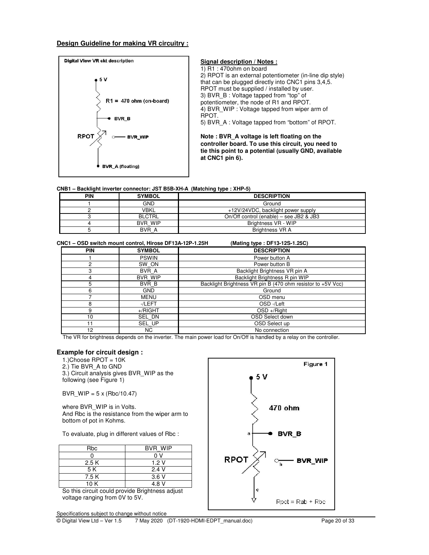#### **Design Guideline for making VR circuitry :**



**CNB1 – Backlight inverter connector: JST B5B-XH-A (Matching type : XHP-5)**

| PIN | <b>SYMBOL</b> | <b>DESCRIPTION</b>                      |
|-----|---------------|-----------------------------------------|
|     | <b>GND</b>    | Ground                                  |
|     | <b>VBKL</b>   | +12V/24VDC, backlight power supply      |
|     | <b>BLCTRL</b> | On/Off control (enable) – see JB2 & JB3 |
|     | BVR WIP       | Brightness VR - WIP                     |
|     | BVR A         | Brightness VR A                         |

| CNC1 - OSD switch mount control, Hirose DF13A-12P-1.25H<br>(Mating type: DF13-12S-1.25C) |                |                                                             |
|------------------------------------------------------------------------------------------|----------------|-------------------------------------------------------------|
| <b>PIN</b>                                                                               | <b>SYMBOL</b>  | <b>DESCRIPTION</b>                                          |
|                                                                                          | <b>PSWIN</b>   | Power button A                                              |
| 2                                                                                        | SW ON          | Power button B                                              |
| 3                                                                                        | BVR A          | Backlight Brightness VR pin A                               |
| 4                                                                                        | <b>BVR WIP</b> | Backlight Brightness R pin WIP                              |
| 5                                                                                        | BVR B          | Backlight Brightness VR pin B (470 ohm resistor to +5V Vcc) |
| 6                                                                                        | <b>GND</b>     | Ground                                                      |
|                                                                                          | <b>MENU</b>    | OSD menu                                                    |
| 8                                                                                        | -/LEFT         | OSD-/Left                                                   |
| 9                                                                                        | $+$ /RIGHT     | $OSD + /$ Right                                             |
| 10                                                                                       | SEL DN         | OSD Select down                                             |
| 11                                                                                       | SEL UP         | OSD Select up                                               |
| 12                                                                                       | NC.            | No connection                                               |

The VR for brightness depends on the inverter. The main power load for On/Off is handled by a relay on the controller.

### **Example for circuit design :**

1.)Choose RPOT = 10K 2.) Tie BVR\_A to GND 3.) Circuit analysis gives BVR\_WIP as the following (see Figure 1)

 $BVR_WIP = 5 \times (Rbc/10.47)$ 

where BVR\_WIP is in Volts. And Rbc is the resistance from the wiper arm to bottom of pot in Kohms.

To evaluate, plug in different values of Rbc :

| <b>Rbc</b> | <b>BVR WIP</b> |
|------------|----------------|
|            | 0 V            |
| 2.5K       | 1.2V           |
| 5 K        | 2.4V           |
| 7.5 K      | 3.6V           |
| 10 K       | 4 8 V          |

So this circuit could provide Brightness adjust voltage ranging from 0V to 5V.

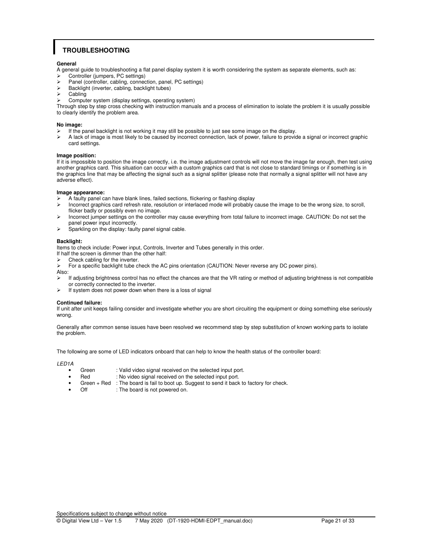# **TROUBLESHOOTING**

#### **General**

A general guide to troubleshooting a flat panel display system it is worth considering the system as separate elements, such as:

- Controller (jumpers, PC settings)
- Panel (controller, cabling, connection, panel, PC settings)
- $\triangleright$  Backlight (inverter, cabling, backlight tubes)
- Cabling
- Computer system (display settings, operating system)

Through step by step cross checking with instruction manuals and a process of elimination to isolate the problem it is usually possible to clearly identify the problem area.

#### **No image:**

- If the panel backlight is not working it may still be possible to just see some image on the display.<br>
In a lack of image is most likely to be caused by incorrect connection, lack of power, failure to provide
- A lack of image is most likely to be caused by incorrect connection, lack of power, failure to provide a signal or incorrect graphic card settings.

#### **Image position:**

If it is impossible to position the image correctly, i.e. the image adjustment controls will not move the image far enough, then test using another graphics card. This situation can occur with a custom graphics card that is not close to standard timings or if something is in the graphics line that may be affecting the signal such as a signal splitter (please note that normally a signal splitter will not have any adverse effect).

#### **Image appearance:**

- A faulty panel can have blank lines, failed sections, flickering or flashing display
- Incorrect graphics card refresh rate, resolution or interlaced mode will probably cause the image to be the wrong size, to scroll, flicker badly or possibly even no image.
- Incorrect jumper settings on the controller may cause everything from total failure to incorrect image. CAUTION: Do not set the panel power input incorrectly.
- $\triangleright$  Sparkling on the display: faulty panel signal cable.

#### **Backlight:**

Items to check include: Power input, Controls, Inverter and Tubes generally in this order.

- If half the screen is dimmer than the other half:
- $\triangleright$  Check cabling for the inverter.

For a specific backlight tube check the AC pins orientation (CAUTION: Never reverse any DC power pins).

- Also:
- If adjusting brightness control has no effect the chances are that the VR rating or method of adjusting brightness is not compatible or correctly connected to the inverter.
- $\triangleright$  If system does not power down when there is a loss of signal

#### **Continued failure:**

If unit after unit keeps failing consider and investigate whether you are short circuiting the equipment or doing something else seriously wrong.

Generally after common sense issues have been resolved we recommend step by step substitution of known working parts to isolate the problem.

The following are some of LED indicators onboard that can help to know the health status of the controller board:

#### *LED1A*

- Green : Valid video signal received on the selected input port.
- Red : No video signal received on the selected input port.
- Green + Red : The board is fail to boot up. Suggest to send it back to factory for check.
- Off : The board is not powered on.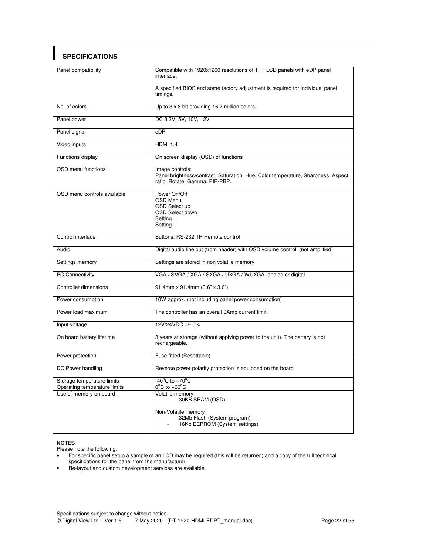## **SPECIFICATIONS**

| Panel compatibility          | Compatible with 1920x1200 resolutions of TFT LCD panels with eDP panel                                                                |  |
|------------------------------|---------------------------------------------------------------------------------------------------------------------------------------|--|
|                              | interface.                                                                                                                            |  |
|                              | A specified BIOS and some factory adjustment is required for individual panel<br>timings.                                             |  |
| No. of colors                | Up to $3 \times 8$ bit providing 16.7 million colors.                                                                                 |  |
| Panel power                  | DC 3.3V, 5V, 10V, 12V                                                                                                                 |  |
| Panel signal                 | eDP                                                                                                                                   |  |
| Video inputs                 | <b>HDMI 1.4</b>                                                                                                                       |  |
| Functions display            | On screen display (OSD) of functions                                                                                                  |  |
| OSD menu functions           | Image controls:<br>Panel brightness/contrast, Saturation, Hue, Color temperature, Sharpness, Aspect<br>ratio, Rotate, Gamma, PIP/PBP. |  |
| OSD menu controls available  | Power On/Off<br>OSD Menu<br>OSD Select up<br>OSD Select down<br>Setting +<br>Setting $-$                                              |  |
| Control interface            | Buttons, RS-232, IR Remote control                                                                                                    |  |
| Audio                        | Digital audio line out (from header) with OSD volume control. (not amplified)                                                         |  |
| Settings memory              | Settings are stored in non volatile memory                                                                                            |  |
| <b>PC Connectivity</b>       | VGA / SVGA / XGA / SXGA / UXGA / WUXGA analog or digital                                                                              |  |
| Controller dimensions        | 91.4mm x 91.4mm (3.6" x 3.6")                                                                                                         |  |
| Power consumption            | 10W approx. (not including panel power consumption)                                                                                   |  |
| Power load maximum           | The controller has an overall 3Amp current limit.                                                                                     |  |
| Input voltage                | 12V/24VDC +/- 5%                                                                                                                      |  |
| On board battery lifetime    | 3 years at storage (without applying power to the unit). The battery is not<br>rechargeable.                                          |  |
| Power protection             | Fuse fitted (Resettable)                                                                                                              |  |
| DC Power handling            | Reverse power polarity protection is equipped on the board                                                                            |  |
| Storage temperature limits   | $-40^{\circ}$ C to $+70^{\circ}$ C                                                                                                    |  |
| Operating temperature limits | $0^{\circ}$ C to +60 $^{\circ}$ C                                                                                                     |  |
| Use of memory on board       | Volatile memory<br>30KB SRAM (OSD)                                                                                                    |  |
|                              | Non-Volatile memory<br>32Mb Flash (System program)<br>16Kb EEPROM (System settings)                                                   |  |

#### **NOTES**

Please note the following:

- For specific panel setup a sample of an LCD may be required (this will be returned) and a copy of the full technical specifications for the panel from the manufacturer.
- Re-layout and custom development services are available.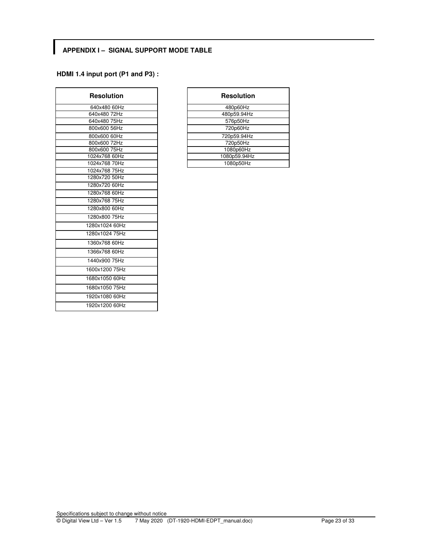# **APPENDIX I – SIGNAL SUPPORT MODE TABLE**

# **HDMI 1.4 input port (P1 and P3) :**

| <b>Resolution</b> | <b>Resolution</b> |
|-------------------|-------------------|
| 640x480 60Hz      | 480p60Hz          |
| 640x480 72Hz      | 480p59.94Hz       |
| 640x480 75Hz      | 576p50Hz          |
| 800x600 56Hz      | 720p60Hz          |
| 800x600 60Hz      | 720p59.94Hz       |
| 800x600 72Hz      | 720p50Hz          |
| 800x600 75Hz      | 1080p60Hz         |
| 1024x768 60Hz     | 1080p59.94Hz      |
| 1024x768 70Hz     | 1080p50Hz         |
| 1024x768 75Hz     |                   |
| 1280x720 50Hz     |                   |
| 1280x720 60Hz     |                   |
| 1280x768 60Hz     |                   |
| 1280x768 75Hz     |                   |
| 1280x800 60Hz     |                   |
| 1280x800 75Hz     |                   |
| 1280x1024 60Hz    |                   |
| 1280x1024 75Hz    |                   |
| 1360x768 60Hz     |                   |
| 1366x768 60Hz     |                   |
| 1440x900 75Hz     |                   |
| 1600x1200 75Hz    |                   |
| 1680x1050 60Hz    |                   |
| 1680x1050 75Hz    |                   |
| 1920x1080 60Hz    |                   |
| 1920x1200 60Hz    |                   |

| <b>Resolution</b> | <b>Resolution</b> |
|-------------------|-------------------|
| 640x480 60Hz      | 480p60Hz          |
| 640x480 72Hz      | 480p59.94Hz       |
| 640x480 75Hz      | 576p50Hz          |
| 800x600 56Hz      | 720p60Hz          |
| 800x600 60Hz      | 720p59.94Hz       |
| 800x600 72Hz      | 720p50Hz          |
| 800x600 75Hz      | 1080p60Hz         |
| 024x768 60Hz      | 1080p59.94Hz      |
| 024x768 70Hz      | 1080p50Hz         |

Specifications subject to change without notice<br>
© Digital View Ltd – Ver 1.5 7 May 2020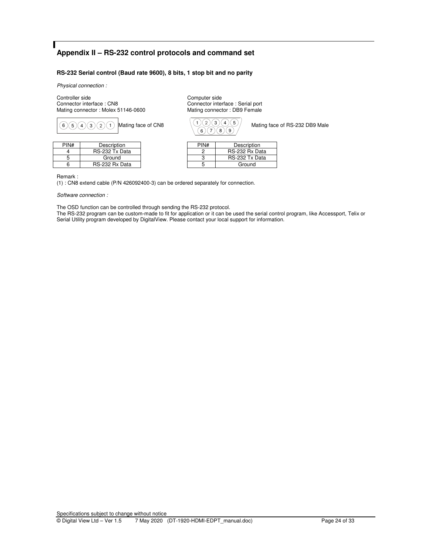# **Appendix II – RS-232 control protocols and command set**

### **RS-232 Serial control (Baud rate 9600), 8 bits, 1 stop bit and no parity**

*Physical connection :* 

Controller side<br>
Connector interface : CN8<br>
Connector interface : CN8<br>
Connector interface : CN8 Mating connector : Molex 51146-0600



| PIN# | Description    | PIN# | Description         |
|------|----------------|------|---------------------|
|      | RS-232 Tx Data |      | <b>RS-232 Rx Da</b> |
|      | Ground         |      | <b>RS-232 Tx Da</b> |
|      | RS-232 Rx Data |      | Ground              |

Connector interface : Serial port<br>Mating connector : DB9 Female



| N# | Description    | PIN# | Description    |
|----|----------------|------|----------------|
| 4  | RS-232 Tx Data |      | RS-232 Rx Data |
| 5  | Ground         |      | RS-232 Tx Data |
| 6  | RS-232 Rx Data |      | Ground         |

Remark :

(1) : CN8 extend cable (P/N 426092400-3) can be ordered separately for connection.

#### *Software connection :*

The OSD function can be controlled through sending the RS-232 protocol.

The RS-232 program can be custom-made to fit for application or it can be used the serial control program, like Accessport, Telix or Serial Utility program developed by DigitalView. Please contact your local support for information.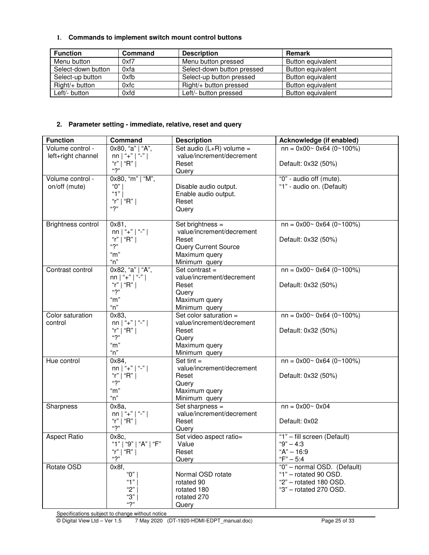### **1. Commands to implement switch mount control buttons**

| <b>Function</b>    | Command | <b>Description</b>         | <b>Remark</b>            |
|--------------------|---------|----------------------------|--------------------------|
| Menu button        | 0xf7    | Menu button pressed        | Button equivalent        |
| Select-down button | 0xfa    | Select-down button pressed | Button equivalent        |
| Select-up button   | 0xfb    | Select-up button pressed   | Button equivalent        |
| Right/+ button     | 0xfc    | Right/+ button pressed     | Button equivalent        |
| Left/- button      | 0xfd    | Left/- button pressed      | <b>Button equivalent</b> |

### **2. Parameter setting - immediate, relative, reset and query**

| <b>Function</b>                   | Command                           | <b>Description</b>                            | Acknowledge (if enabled)                             |
|-----------------------------------|-----------------------------------|-----------------------------------------------|------------------------------------------------------|
| Volume control -                  | 0x80, "a"   "A",                  | Set audio $(L+R)$ volume =                    | $nn = 0x00 - 0x64 (0 - 100\%)$                       |
| left+right channel                | nn   "+"   "-"                    | value/increment/decrement                     |                                                      |
|                                   | "r"   "R"                         | Reset                                         | Default: 0x32 (50%)                                  |
|                                   | ``2"                              | Query                                         |                                                      |
| Volume control -<br>on/off (mute) | 0x80, "m"   "M",<br>"0" $ $       |                                               | "0" - audio off (mute).<br>"1" - audio on. (Default) |
|                                   | "1" $\mid$                        | Disable audio output.<br>Enable audio output. |                                                      |
|                                   | "r"   "R"                         | Reset                                         |                                                      |
|                                   | "?"                               | Query                                         |                                                      |
|                                   |                                   |                                               |                                                      |
| Brightness control                | 0x81                              | Set brightness =                              | $nn = 0x00 - 0x64 (0 - 100\%)$                       |
|                                   | nn   "+"   "-"                    | value/increment/decrement                     |                                                      |
|                                   | "r"   "R"                         | Reset                                         | Default: 0x32 (50%)                                  |
|                                   | "?"                               | <b>Query Current Source</b>                   |                                                      |
|                                   | $\degree$ m"                      | Maximum query                                 |                                                      |
|                                   | "n"                               | Minimum query                                 |                                                      |
| Contrast control                  | 0x82, "a"   "A",                  | Set contrast $=$                              | $nn = 0x00 - 0x64 (0 - 100\%)$                       |
|                                   | nn   "+"   "-"  <br>"r"   "R" $ $ | value/increment/decrement<br>Reset            |                                                      |
|                                   | ``2"                              | Query                                         | Default: 0x32 (50%)                                  |
|                                   | "m"                               | Maximum query                                 |                                                      |
|                                   | "n"                               | Minimum query                                 |                                                      |
| Color saturation                  | 0x83,                             | Set color saturation $=$                      | $nn = 0x00 - 0x64 (0 - 100\%)$                       |
| control                           | nn   "+"   "-"                    | value/increment/decrement                     |                                                      |
|                                   | "r"   "R"                         | Reset                                         | Default: 0x32 (50%)                                  |
|                                   | ``2"                              | Query                                         |                                                      |
|                                   | $m$ "                             | Maximum query                                 |                                                      |
|                                   | "n"                               | Minimum query                                 |                                                      |
| Hue control                       | 0x84,                             | Set tint $=$                                  | $nn = 0x00 - 0x64 (0 - 100\%)$                       |
|                                   | nn   "+"   "-"  <br>"r"   "R"     | value/increment/decrement<br>Reset            | Default: 0x32 (50%)                                  |
|                                   | "2"                               | Query                                         |                                                      |
|                                   | $m$ "                             | Maximum query                                 |                                                      |
|                                   | "n"                               | Minimum query                                 |                                                      |
| Sharpness                         | $0x8a$ ,                          | Set sharpness $=$                             | $nn = 0x00 - 0x04$                                   |
|                                   | $nn \mid$ "+" $\mid$ "-" $\mid$   | value/increment/decrement                     |                                                      |
|                                   | "r"   "R" $ $                     | Reset                                         | Default: 0x02                                        |
|                                   | ``2"                              | Query                                         |                                                      |
| <b>Aspect Ratio</b>               | 0x8c,                             | Set video aspect ratio=                       | "1" - fill screen (Default)                          |
|                                   | "1"   "9"   "A"   "F"             | Value                                         | "9" $-4:3$                                           |
|                                   | "r"   "R"  <br>``2"               | Reset                                         | $A'' - 16:9$                                         |
|                                   |                                   | Query                                         | $"F" - 5:4"$                                         |
| Rotate OSD                        | 0x8f,<br>" $0$ "                  |                                               | "0" - normal OSD. (Default)<br>"1" - rotated 90 OSD. |
|                                   | "1"                               | Normal OSD rotate<br>rotated 90               | "2" - rotated 180 OSD.                               |
|                                   | "2"                               | rotated 180                                   | " $3"$ – rotated 270 OSD.                            |
|                                   | "3"                               | rotated 270                                   |                                                      |
|                                   | "2"                               | Query                                         |                                                      |

Specifications subject to change without notice<br>  $\textcircled{}$  Digital View Ltd – Ver 1.5 7 May 2020

7 May 2020 (DT-1920-HDMI-EDPT\_manual.doc) Page 25 of 33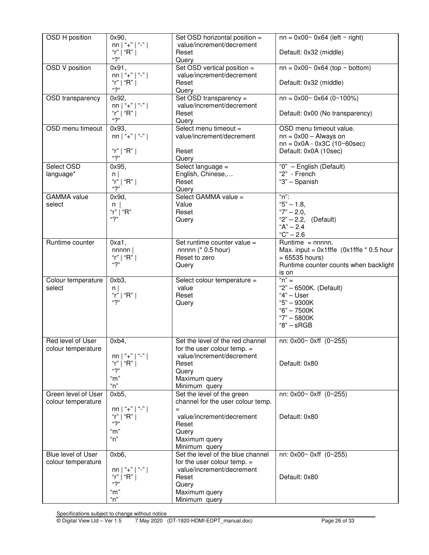| OSD H position                           | 0x90,<br>nn   "+"   "-"                 | Set OSD horizontal position =<br>value/increment/decrement         | $nn = 0x00^\circ 0x64$ (left $\sim$ right)                            |
|------------------------------------------|-----------------------------------------|--------------------------------------------------------------------|-----------------------------------------------------------------------|
|                                          | "r"   "R"  <br>``2"                     | Reset<br>Query                                                     | Default: 0x32 (middle)                                                |
| OSD V position                           | 0x91,                                   | Set OSD vertical position =                                        | $nn = 0x00 - 0x64$ (top ~ bottom)                                     |
|                                          | nn   "+"   "-"  <br>"r"   "R"  <br>``2" | value/increment/decrement<br>Reset<br>Query                        | Default: 0x32 (middle)                                                |
| OSD transparency                         | 0x92,                                   | Set OSD transparency =                                             | $nn = 0x00^{\circ} 0x64 (0^{\circ}100\%)$                             |
|                                          | nn   "+"   "-"  <br>"r"   "R"  <br>``2" | value/increment/decrement<br>Reset<br>Query                        | Default: 0x00 (No transparency)                                       |
| OSD menu timeout                         | 0x93,                                   | Select menu timeout =                                              | OSD menu timeout value.                                               |
|                                          | nn   "+"   "-"                          | value/increment/decrement                                          | $nn = 0x00 - Always on$<br>$nn = 0x0A - 0x3C (10-60sec)$              |
|                                          | "r"   "R"  <br>"2"                      | Reset                                                              | Default: 0x0A (10sec)                                                 |
| Select OSD                               | 0x95,                                   | Query<br>$\overline{\text{Select}}$ language =                     | "0" - English (Default)                                               |
| language*                                | $n \mid$                                | English, Chinese,                                                  | "2" - French                                                          |
|                                          | "r"   "R"  <br>``2"                     | Reset<br>Query                                                     | "3" - Spanish                                                         |
| <b>GAMMA</b> value                       | 0x9d,                                   | Select GAMMA value =                                               | $n$ ":                                                                |
| select                                   | n I                                     | Value                                                              | " $5" - 1.8$                                                          |
|                                          | "r"   "R"<br>``2"                       | Reset<br>Query                                                     | " $7" - 2.0$<br>" $2" - 2.2$ , (Default)                              |
|                                          |                                         |                                                                    | $A'' - 2.4$                                                           |
|                                          |                                         |                                                                    | $°C - 2.6$                                                            |
| Runtime counter                          | 0xa1,<br>nnnnn                          | Set runtime counter value =<br>nnnn (* 0.5 hour)                   | Runtime $=$ nnnnn.<br>Max. input = $0x1$ fffe ( $0x1$ fffe * 0.5 hour |
|                                          | "r"   "R" $ $                           | Reset to zero                                                      | $= 65535$ hours)                                                      |
|                                          | "?"                                     | Query                                                              | Runtime counter counts when backlight<br>is on                        |
| Colour temperature                       | 0xb3,                                   | Select colour temperature =                                        | " $n" =$                                                              |
| select                                   | $n \mid$                                | value                                                              | "2" - 6500K. (Default)                                                |
|                                          | "r"   "R"  <br>"ת"                      | Reset<br>Query                                                     | " $4" - User$<br>"5" - 9300K                                          |
|                                          |                                         |                                                                    | $"6" - 7500K$                                                         |
|                                          |                                         |                                                                    | "7" - 5800K                                                           |
|                                          |                                         |                                                                    | $"8" - sRGB$                                                          |
| Red level of User                        | 0xb4,                                   | Set the level of the red channel                                   | nn: 0x00~ 0xff (0~255)                                                |
| colour temperature                       | nn   "+"   "-"                          | for the user colour temp. $=$<br>value/increment/decrement         |                                                                       |
|                                          | "r"<br>$\mathsf{I}$ "R"                 | Reset                                                              | Default: 0x80                                                         |
|                                          | ``2"<br>$\degree$ m"                    | Query<br>Maximum query                                             |                                                                       |
|                                          | "n"                                     | Minimum query                                                      |                                                                       |
| Green level of User                      | 0xb5,                                   | Set the level of the green                                         | nn: 0x00~ 0xff (0~255)                                                |
| colour temperature                       | nn   "+"   "-"                          | channel for the user colour temp.                                  |                                                                       |
|                                          | "r"   "R"                               | value/increment/decrement                                          | Default: 0x80                                                         |
|                                          | ``2"<br>"m"                             | Reset<br>Query                                                     |                                                                       |
|                                          | n                                       | Maximum query                                                      |                                                                       |
|                                          |                                         | Minimum query                                                      |                                                                       |
| Blue level of User<br>colour temperature | 0xb6,                                   | Set the level of the blue channel<br>for the user colour temp. $=$ | nn: 0x00~ 0xff (0~255)                                                |
|                                          | $nn$   "+"   "-"                        | value/increment/decrement                                          |                                                                       |
|                                          | "r" $ $ "R" $ $<br>``2"                 | Reset                                                              | Default: 0x80                                                         |
|                                          | $\mathrm{m}$ "                          | Query<br>Maximum query                                             |                                                                       |
|                                          | "n"                                     | Minimum query                                                      |                                                                       |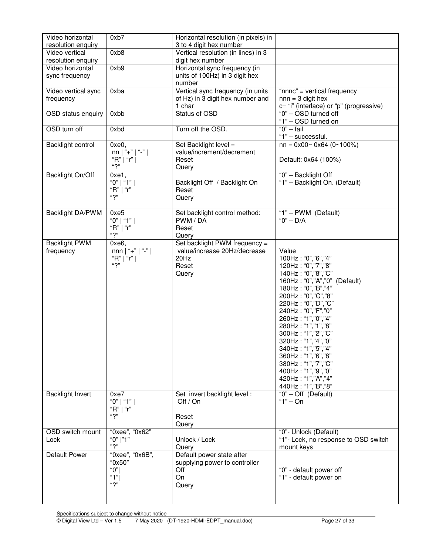| Video horizontal<br>resolution enquiry | 0xb7              | Horizontal resolution (in pixels) in<br>3 to 4 digit hex number |                                         |
|----------------------------------------|-------------------|-----------------------------------------------------------------|-----------------------------------------|
| Video vertical                         | 0xb8              | Vertical resolution (in lines) in 3                             |                                         |
| resolution enquiry                     |                   | digit hex number                                                |                                         |
| Video horizontal                       | 0xb9              | Horizontal sync frequency (in                                   |                                         |
| sync frequency                         |                   | units of 100Hz) in 3 digit hex                                  |                                         |
|                                        |                   | number                                                          |                                         |
| Video vertical sync                    | 0xba              | Vertical sync frequency (in units                               | "nnnc" = vertical frequency             |
|                                        |                   | of Hz) in 3 digit hex number and                                | $nnn = 3$ digit hex                     |
| frequency                              |                   | 1 char                                                          | c= "i" (interlace) or "p" (progressive) |
| OSD status enquiry                     | 0xbb              | <b>Status of OSD</b>                                            | "0" - OSD turned off                    |
|                                        |                   |                                                                 | "1" - OSD turned on                     |
| OSD turn off                           | 0xbd              | Turn off the OSD.                                               | " $0$ " - fail.                         |
|                                        |                   |                                                                 | "1" - successful.                       |
| Backlight control                      | 0xe0,             | Set Backlight level =                                           | $nn = 0x00 - 0x64 (0 - 100\%)$          |
|                                        | nn   "+"   "-"    | value/increment/decrement                                       |                                         |
|                                        | "R"   "r" $ $     | Reset                                                           | Default: 0x64 (100%)                    |
|                                        | "?"               | Query                                                           |                                         |
| Backlight On/Off                       | 0xe1,             |                                                                 | "0" - Backlight Off                     |
|                                        | "0"   "1"         | Backlight Off / Backlight On                                    | "1" - Backlight On. (Default)           |
|                                        | "R"   "r"         | Reset                                                           |                                         |
|                                        | ``2"              | Query                                                           |                                         |
|                                        |                   |                                                                 |                                         |
| Backlight DA/PWM                       | 0xe5              | Set backlight control method:                                   | "1" - PWM (Default)                     |
|                                        | "0"   "1"         | PWM / DA                                                        | " $0$ " - D/A                           |
|                                        | "R"   "r"         | Reset                                                           |                                         |
|                                        | ``2"              | Query                                                           |                                         |
| <b>Backlight PWM</b>                   | 0xe6,             | Set backlight PWM frequency =                                   |                                         |
| frequency                              | $nnn$   "+"   "-" | value/increase 20Hz/decrease                                    | Value                                   |
|                                        | "R"   "r"         | 20Hz                                                            | 100Hz: "0", "6", "4"                    |
|                                        | ``2"              | Reset                                                           | 120Hz: "0","7","8"                      |
|                                        |                   | Query                                                           | 140Hz: "0","8","C"                      |
|                                        |                   |                                                                 | 160Hz: "0","A","0" (Default)            |
|                                        |                   |                                                                 | 180Hz: "0", "B", "4"'                   |
|                                        |                   |                                                                 | 200Hz: "0", "C", "8"                    |
|                                        |                   |                                                                 | 220Hz: "0","D","C"                      |
|                                        |                   |                                                                 | 240Hz: "0","F","0"                      |
|                                        |                   |                                                                 | 260Hz: "1","0","4"                      |
|                                        |                   |                                                                 | 280Hz: "1","1","8"                      |
|                                        |                   |                                                                 | 300Hz: "1","2","C"                      |
|                                        |                   |                                                                 | 320Hz: "1","4","0"                      |
|                                        |                   |                                                                 | 340Hz: "1","5","4"                      |
|                                        |                   |                                                                 | 360Hz: "1","6","8"                      |
|                                        |                   |                                                                 | 380Hz: "1","7","C"                      |
|                                        |                   |                                                                 | 400Hz: "1","9","0"                      |
|                                        |                   |                                                                 | 420Hz: "1","A","4"                      |
|                                        |                   |                                                                 | 440Hz: "1","B","8"                      |
| <b>Backlight Invert</b>                | 0xe7              | Set invert backlight level :                                    | " $0$ " – Off (Default)                 |
|                                        | "0"   "1"         | Off / On                                                        | " $1" - On$                             |
|                                        | "R"   "r"         |                                                                 |                                         |
|                                        | "2"               | Reset                                                           |                                         |
|                                        |                   | Query                                                           |                                         |
| OSD switch mount                       | "0xee", "0x62"    |                                                                 | "0"- Unlock (Default)                   |
| Lock                                   | "0"  "1"<br>$n_2$ | Unlock / Lock                                                   | "1"- Lock, no response to OSD switch    |
|                                        |                   | Query                                                           | mount keys                              |
| Default Power                          | "0xee", "0x6B",   | Default power state after                                       |                                         |
|                                        | "0x50"            | supplying power to controller                                   |                                         |
|                                        | "0"               | Off                                                             | "0" - default power off                 |
|                                        | " $1$ "<br>"2"    | On                                                              | "1" - default power on                  |
|                                        |                   | Query                                                           |                                         |
|                                        |                   |                                                                 |                                         |
|                                        |                   |                                                                 |                                         |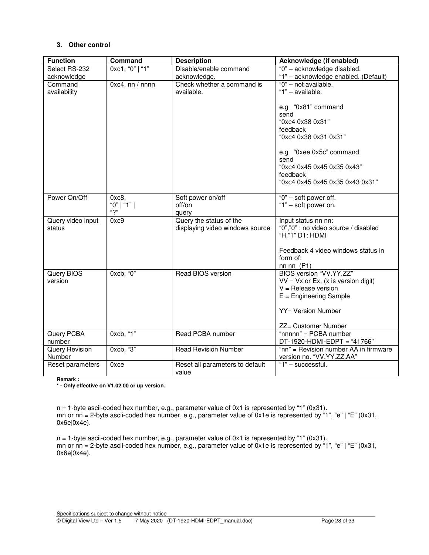### **3. Other control**

| <b>Function</b>   | Command         | <b>Description</b>              | Acknowledge (if enabled)                     |
|-------------------|-----------------|---------------------------------|----------------------------------------------|
| Select RS-232     | 0xc1, "0"   "1" | Disable/enable command          | "0" - acknowledge disabled.                  |
| acknowledge       |                 | acknowledge.                    | "1" - acknowledge enabled. (Default)         |
| Command           | 0xc4, nn / nnnn | Check whether a command is      | "0" - not available.                         |
| availability      |                 | available.                      | "1" - available.                             |
|                   |                 |                                 |                                              |
|                   |                 |                                 | e.g "0x81" command                           |
|                   |                 |                                 | send                                         |
|                   |                 |                                 | "0xc4 0x38 0x31"                             |
|                   |                 |                                 | feedback                                     |
|                   |                 |                                 | "0xc4 0x38 0x31 0x31"                        |
|                   |                 |                                 | e.g "0xee 0x5c" command                      |
|                   |                 |                                 | send                                         |
|                   |                 |                                 | "0xc4 0x45 0x45 0x35 0x43"                   |
|                   |                 |                                 | feedback                                     |
|                   |                 |                                 | "0xc4 0x45 0x45 0x35 0x43 0x31"              |
|                   |                 |                                 |                                              |
| Power On/Off      | $0xc8$ ,        | Soft power on/off               | "0" - soft power off.                        |
|                   | "0"   "1"       | off/on                          | "1" - soft power on.                         |
|                   | "2"             | query                           |                                              |
| Query video input | 0xc9            | Query the status of the         | Input status nn nn:                          |
| status            |                 | displaying video windows source | "0","0" : no video source / disabled         |
|                   |                 |                                 | "H,"1" D1: HDMI                              |
|                   |                 |                                 | Feedback 4 video windows status in           |
|                   |                 |                                 | form of:                                     |
|                   |                 |                                 | nn nn $(P1)$                                 |
| Query BIOS        | $0xcb.$ " $0$ " | Read BIOS version               | BIOS version "VV.YY.ZZ"                      |
| version           |                 |                                 | $VV = Vx$ or Ex, (x is version digit)        |
|                   |                 |                                 | $V =$ Release version                        |
|                   |                 |                                 | $E =$ Engineering Sample                     |
|                   |                 |                                 |                                              |
|                   |                 |                                 | YY= Version Number                           |
|                   |                 |                                 |                                              |
| Query PCBA        | 0xcb, "1"       | Read PCBA number                | ZZ= Customer Number<br>"nnnnn" = PCBA number |
| number            |                 |                                 | DT-1920-HDMI-EDPT = "41766"                  |
| Query Revision    | 0xcb, "3"       | <b>Read Revision Number</b>     | "nn" = Revision number AA in firmware        |
| Number            |                 |                                 | version no. "VV.YY.ZZ.AA"                    |
| Reset parameters  | 0xce            | Reset all parameters to default | $"1"$ – successful.                          |
|                   |                 | value                           |                                              |

**Remark :** 

**\* - Only effective on V1.02.00 or up version.** 

 $n = 1$ -byte ascii-coded hex number, e.g., parameter value of 0x1 is represented by "1" (0x31). mn or nn = 2-byte ascii-coded hex number, e.g., parameter value of 0x1e is represented by "1", "e" | "E" (0x31, 0x6e|0x4e).

 $n = 1$ -byte ascii-coded hex number, e.g., parameter value of  $0x1$  is represented by "1" ( $0x31$ ). mn or  $nn = 2$ -byte ascii-coded hex number, e.g., parameter value of  $0x1e$  is represented by "1", "e" | "E" (0x31, 0x6e|0x4e).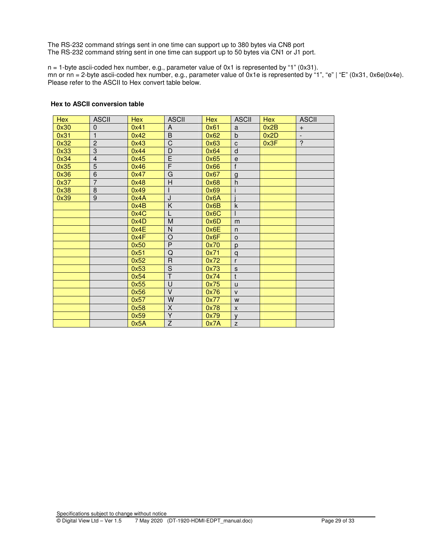The RS-232 command strings sent in one time can support up to 380 bytes via CN8 port The RS-232 command string sent in one time can support up to 50 bytes via CN1 or J1 port.

n = 1-byte ascii-coded hex number, e.g., parameter value of 0x1 is represented by "1" (0x31). mn or nn = 2-byte ascii-coded hex number, e.g., parameter value of 0x1e is represented by "1", "e" | "E" (0x31, 0x6e|0x4e). Please refer to the ASCII to Hex convert table below.

### **Hex to ASCII conversion table**

| Hex  | <b>ASCII</b>   | <b>Hex</b> | <b>ASCII</b>            | <b>Hex</b> | <b>ASCII</b> | <b>Hex</b> | <b>ASCII</b>       |
|------|----------------|------------|-------------------------|------------|--------------|------------|--------------------|
| 0x30 | 0              | 0x41       | A                       | 0x61       | a            | 0x2B       | $\ddot{}$          |
| 0x31 | 1              | 0x42       | $\overline{B}$          | 0x62       | b            | 0x2D       |                    |
| 0x32 | $\overline{2}$ | 0x43       | C                       | 0x63       | $\mathbf{C}$ | 0x3F       | $\overline{\cdot}$ |
| 0x33 | $\overline{3}$ | 0x44       | D                       | 0x64       | d            |            |                    |
| 0x34 | $\overline{4}$ | 0x45       | $\overline{\mathsf{E}}$ | 0x65       | $\mathsf e$  |            |                    |
| 0x35 | 5              | 0x46       | F                       | 0x66       | $\mathsf{f}$ |            |                    |
| 0x36 | 6              | 0x47       | G                       | 0x67       | $\mathbf{q}$ |            |                    |
| 0x37 | 7              | 0x48       | H                       | 0x68       | h            |            |                    |
| 0x38 | 8              | 0x49       |                         | 0x69       |              |            |                    |
| 0x39 | $\overline{9}$ | 0x4A       | J                       | 0x6A       |              |            |                    |
|      |                | 0x4B       | K                       | 0x6B       | k            |            |                    |
|      |                | 0x4C       |                         | 0x6C       |              |            |                    |
|      |                | 0x4D       | M                       | 0x6D       | m            |            |                    |
|      |                | 0x4E       | $\mathsf{N}$            | 0x6E       | $\mathsf{n}$ |            |                    |
|      |                | 0x4F       | $\circ$                 | 0x6F       | $\circ$      |            |                    |
|      |                | 0x50       | P                       | 0x70       | p            |            |                    |
|      |                | 0x51       | $\mathsf Q$             | 0x71       | $\alpha$     |            |                    |
|      |                | 0x52       | $\mathsf{R}$            | 0x72       | r            |            |                    |
|      |                | 0x53       | $\overline{S}$          | 0x73       | $\mathsf s$  |            |                    |
|      |                | 0x54       | $\overline{\mathsf{T}}$ | 0x74       | $\mathsf{t}$ |            |                    |
|      |                | 0x55       | $\cup$                  | 0x75       | $\mathsf{u}$ |            |                    |
|      |                | 0x56       | $\vee$                  | 0x76       | $\mathsf{V}$ |            |                    |
|      |                | 0x57       | W                       | 0x77       | W            |            |                    |
|      |                | 0x58       | X                       | 0x78       | $\mathsf{X}$ |            |                    |
|      |                | 0x59       | Y                       | 0x79       | $\mathsf{V}$ |            |                    |
|      |                | 0x5A       | Z                       | 0x7A       | Z            |            |                    |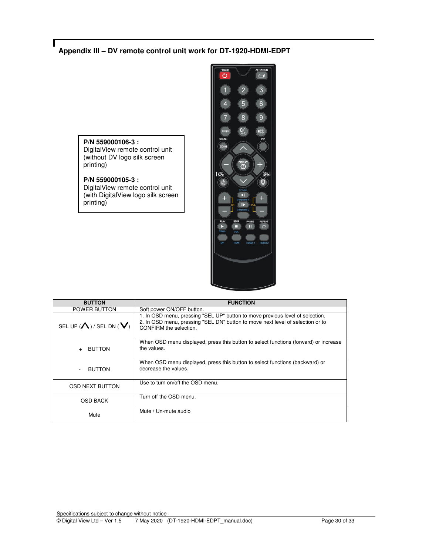# **Appendix III – DV remote control unit work for DT-1920-HDMI-EDPT**

 $\begin{tabular}{|c|c|} \hline \multicolumn{3}{|c|}{\textbf{ATTENTION}} \\ \hline \multicolumn{3}{|c|}{\textbf{ATTENTION}} \\ \hline \multicolumn{3}{|c|}{\textbf{FTENTON}} \\ \hline \multicolumn{3}{|c|}{\textbf{FTENTON}} \\ \hline \multicolumn{3}{|c|}{\textbf{FTENTON}} \\ \hline \multicolumn{3}{|c|}{\textbf{FTENION}} \\ \hline \multicolumn{3}{|c|}{\textbf{FTINION}} \\ \hline \multicolumn{3}{|c|}{\textbf{FTINION}} \\ \hline \multicolumn{3}{|c|}{\textbf{FTINION}} \\ \$  $\circ$  $\boxed{3}$  $6)$  $\boxed{9}$ 8

| <b>BUTTON</b>                             | <b>FUNCTION</b>                                                                                                                                                                           |
|-------------------------------------------|-------------------------------------------------------------------------------------------------------------------------------------------------------------------------------------------|
| POWER BUTTON                              | Soft power ON/OFF button.                                                                                                                                                                 |
| SEL UP $(\bigwedge)$ / SEL DN $(\bigvee)$ | 1. In OSD menu, pressing "SEL UP" button to move previous level of selection.<br>2. In OSD menu, pressing "SEL DN" button to move next level of selection or to<br>CONFIRM the selection. |
| <b>BUTTON</b>                             | When OSD menu displayed, press this button to select functions (forward) or increase<br>the values.                                                                                       |
| <b>BUTTON</b>                             | When OSD menu displayed, press this button to select functions (backward) or<br>decrease the values.                                                                                      |
| OSD NEXT BUTTON                           | Use to turn on/off the OSD menu.                                                                                                                                                          |
| <b>OSD BACK</b>                           | Turn off the OSD menu.                                                                                                                                                                    |
| Mute                                      | Mute / Un-mute audio                                                                                                                                                                      |

**P/N 559000106-3 :** 

**P/N 559000105-3 :** 

printing)

г

printing)

DigitalView remote control unit (without DV logo silk screen

DigitalView remote control unit (with DigitalView logo silk screen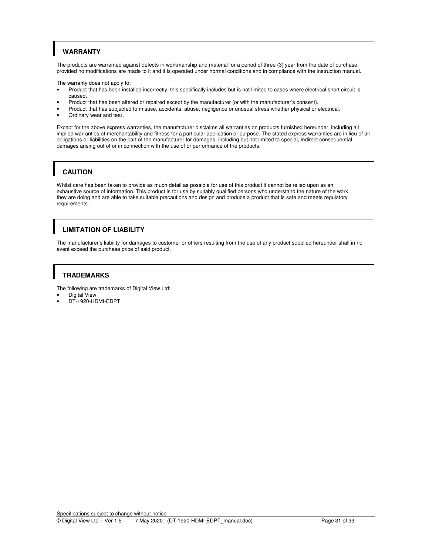# **WARRANTY**

The products are warranted against defects in workmanship and material for a period of three (3) year from the date of purchase provided no modifications are made to it and it is operated under normal conditions and in compliance with the instruction manual.

The warranty does not apply to:

- Product that has been installed incorrectly, this specifically includes but is not limited to cases where electrical short circuit is caused.
- Product that has been altered or repaired except by the manufacturer (or with the manufacturer's consent).
- Product that has subjected to misuse, accidents, abuse, negligence or unusual stress whether physical or electrical.
- Ordinary wear and tear.

Except for the above express warranties, the manufacturer disclaims all warranties on products furnished hereunder, including all implied warranties of merchantability and fitness for a particular application or purpose. The stated express warranties are in lieu of all obligations or liabilities on the part of the manufacturer for damages, including but not limited to special, indirect consequential damages arising out of or in connection with the use of or performance of the products.

# **CAUTION**

Whilst care has been taken to provide as much detail as possible for use of this product it cannot be relied upon as an exhaustive source of information. This product is for use by suitably qualified persons who understand the nature of the work they are doing and are able to take suitable precautions and design and produce a product that is safe and meets regulatory requirements.

# **LIMITATION OF LIABILITY**

The manufacturer's liability for damages to customer or others resulting from the use of any product supplied hereunder shall in no event exceed the purchase price of said product.

# **TRADEMARKS**

The following are trademarks of Digital View Ltd:

- Digital View
- DT-1920-HDMI-EDPT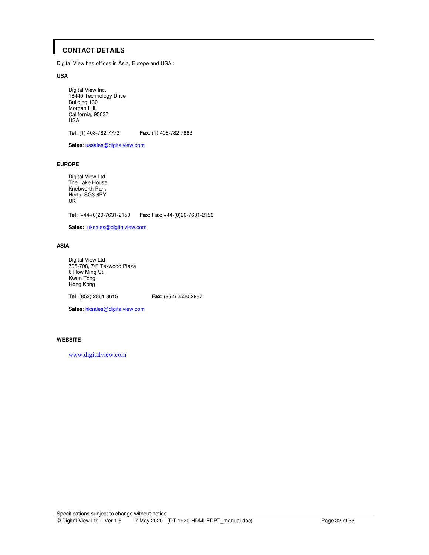## **CONTACT DETAILS**

Digital View has offices in Asia, Europe and USA :

#### **USA**

 Digital View Inc. 18440 Technology Drive Building 130 Morgan Hill, California, 95037 USA

**Tel**: (1) 408-782 7773 **Fax**: (1) 408-782 7883

**Sales**: ussales@digitalview.com

#### **EUROPE**

Digital View Ltd. The Lake House Knebworth Park Herts, SG3 6PY UK

**Tel**: +44-(0)20-7631-2150 **Fax**: Fax: +44-(0)20-7631-2156

**Sales:** uksales@digitalview.com

#### **ASIA**

 Digital View Ltd 705-708, 7/F Texwood Plaza 6 How Ming St. Kwun Tong Hong Kong

**Tel**: (852) 2861 3615 **Fax**: (852) 2520 2987

**Sales**: hksales@digitalview.com

### **WEBSITE**

www.digitalview.com